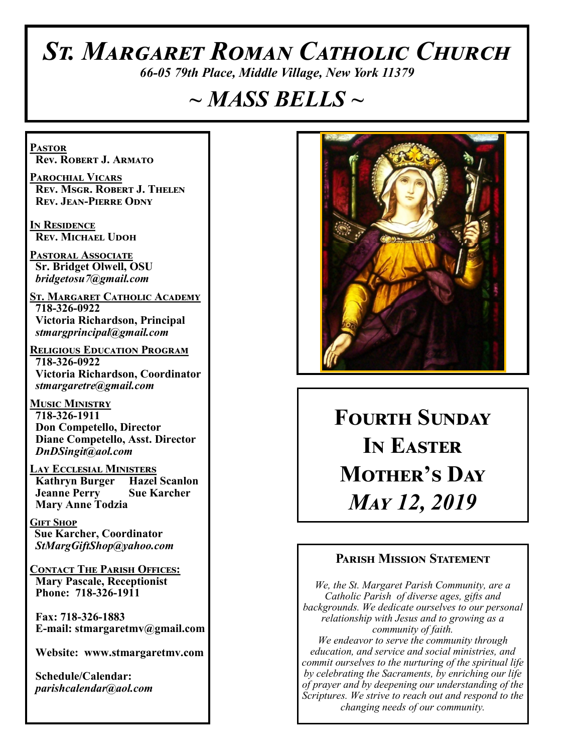# *St. Margaret Roman Catholic Church*

*66-05 79th Place, Middle Village, New York 11379*

# *~ MASS BELLS ~*

**Pastor Rev. Robert J. Armato**

**Parochial Vicars Rev. Msgr. Robert J. Thelen Rev. Jean-Pierre Odny**

**In Residence Rev. Michael Udoh**

**Pastoral Associate Sr. Bridget Olwell, OSU**  *bridgetosu7@gmail.com*

**St. Margaret Catholic Academy 718-326-0922 Victoria Richardson, Principal**  *stmargprincipal@gmail.com*

**Religious Education Program 718-326-0922 Victoria Richardson, Coordinator** *stmargaretre@gmail.com*

**Music Ministry 718-326-1911 Don Competello, Director Diane Competello, Asst. Director** *DnDSingit@aol.com*

**Lay Ecclesial Ministers Kathryn Burger Jeanne Perry Sue Karcher Mary Anne Todzia**

**Gift Shop Sue Karcher, Coordinator** *StMargGiftShop@yahoo.com*

**Contact The Parish Offices: Mary Pascale, Receptionist Phone: 718-326-1911** 

 **Fax: 718-326-1883 E-mail: stmargaretmv@gmail.com**

 **Website: www.stmargaretmv.com**

 **Schedule/Calendar:** *parishcalendar@aol.com* 



**Fourth Sunday In Easter Mother's Day**  *May 12, 2019* 

#### **Parish Mission Statement**

*We, the St. Margaret Parish Community, are a Catholic Parish of diverse ages, gifts and backgrounds. We dedicate ourselves to our personal relationship with Jesus and to growing as a community of faith. We endeavor to serve the community through education, and service and social ministries, and commit ourselves to the nurturing of the spiritual life by celebrating the Sacraments, by enriching our life of prayer and by deepening our understanding of the* 

*Scriptures. We strive to reach out and respond to the changing needs of our community.*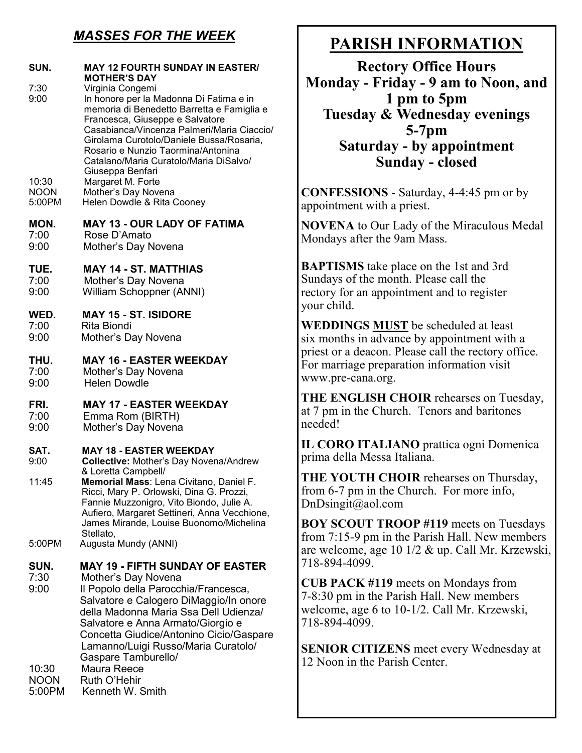## *MASSES FOR THE WEEK*

| SUN.<br>7:30<br>9:00  | <b>MAY 12 FOURTH SUNDAY IN EASTER/</b><br><b>MOTHER'S DAY</b><br>Virginia Congemi<br>In honore per la Madonna Di Fatima e in<br>memoria di Benedetto Barretta e Famiglia e<br>Francesca, Giuseppe e Salvatore<br>Casabianca/Vincenza Palmeri/Maria Ciaccio/<br>Girolama Curotolo/Daniele Bussa/Rosaria,<br>Rosario e Nunzio Taormina/Antonina<br>Catalano/Maria Curatolo/Maria DiSalvo/<br>Giuseppa Benfari |
|-----------------------|-------------------------------------------------------------------------------------------------------------------------------------------------------------------------------------------------------------------------------------------------------------------------------------------------------------------------------------------------------------------------------------------------------------|
| 10:30                 | Margaret M. Forte                                                                                                                                                                                                                                                                                                                                                                                           |
| <b>NOON</b>           | Mother's Day Novena                                                                                                                                                                                                                                                                                                                                                                                         |
| 5:00PM                | Helen Dowdle & Rita Cooney                                                                                                                                                                                                                                                                                                                                                                                  |
| MON.                  | <b>MAY 13 - OUR LADY OF FATIMA</b>                                                                                                                                                                                                                                                                                                                                                                          |
| 7:00                  | Rose D'Amato                                                                                                                                                                                                                                                                                                                                                                                                |
| 9:00                  | Mother's Day Novena                                                                                                                                                                                                                                                                                                                                                                                         |
| TUE.                  | <b>MAY 14 - ST. MATTHIAS</b>                                                                                                                                                                                                                                                                                                                                                                                |
| 7:00                  | Mother's Day Novena                                                                                                                                                                                                                                                                                                                                                                                         |
| 9:00                  | <b>William Schoppner (ANNI)</b>                                                                                                                                                                                                                                                                                                                                                                             |
| WED.                  | <b>MAY 15 - ST. ISIDORE</b>                                                                                                                                                                                                                                                                                                                                                                                 |
| 7:00                  | Rita Biondi                                                                                                                                                                                                                                                                                                                                                                                                 |
| 9:00                  | Mother's Day Novena                                                                                                                                                                                                                                                                                                                                                                                         |
| THU.                  | <b>MAY 16 - EASTER WEEKDAY</b>                                                                                                                                                                                                                                                                                                                                                                              |
| 7:00                  | Mother's Day Novena                                                                                                                                                                                                                                                                                                                                                                                         |
| 9:00                  | <b>Helen Dowdle</b>                                                                                                                                                                                                                                                                                                                                                                                         |
| FRI.                  | <b>MAY 17 - EASTER WEEKDAY</b>                                                                                                                                                                                                                                                                                                                                                                              |
| 7:00                  | Emma Rom (BIRTH)                                                                                                                                                                                                                                                                                                                                                                                            |
| 9:00                  | Mother's Day Novena                                                                                                                                                                                                                                                                                                                                                                                         |
| SAT.<br>9:00<br>11:45 | <b>MAY 18 - EASTER WEEKDAY</b><br><b>Collective: Mother's Day Novena/Andrew</b><br>& Loretta Campbell/<br>Memorial Mass: Lena Civitano, Daniel F.<br>Ricci, Mary P. Orlowski, Dina G. Prozzi,<br>Fannie Muzzonigro, Vito Biondo, Julie A.<br>Aufiero, Margaret Settineri, Anna Vecchione,<br>James Mirande, Louise Buonomo/Michelina<br>Stellato,                                                           |
| 5:00PM                | Augusta Mundy (ANNI)                                                                                                                                                                                                                                                                                                                                                                                        |
| SUN.<br>7:30<br>9:00  | <b>MAY 19 - FIFTH SUNDAY OF EASTER</b><br>Mother's Day Novena<br>Il Popolo della Parocchia/Francesca,<br>Salvatore e Calogero DiMaggio/In onore<br>della Madonna Maria Ssa Dell Udienza/<br>Salvatore e Anna Armato/Giorgio e<br>Concetta Giudice/Antonino Cicio/Gaspare<br>Lamanno/Luigi Russo/Maria Curatolo/<br>Gaspare Tamburello/                                                                      |
| 10:30                 | Maura Reece                                                                                                                                                                                                                                                                                                                                                                                                 |
| <b>NOON</b>           | Ruth O'Hehir                                                                                                                                                                                                                                                                                                                                                                                                |
| 5:00PM                | Kenneth W. Smith                                                                                                                                                                                                                                                                                                                                                                                            |

## **PARISH INFORMATION**

**Rectory Office Hours Monday - Friday - 9 am to Noon, and 1 pm to 5pm Tuesday & Wednesday evenings 5-7pm Saturday - by appointment Sunday - closed**

**CONFESSIONS** - Saturday, 4-4:45 pm or by appointment with a priest.

**NOVENA** to Our Lady of the Miraculous Medal Mondays after the 9am Mass.

**BAPTISMS** take place on the 1st and 3rd Sundays of the month. Please call the rectory for an appointment and to register your child.

**WEDDINGS MUST** be scheduled at least six months in advance by appointment with a priest or a deacon. Please call the rectory office. For marriage preparation information visit www.pre-cana.org.

**THE ENGLISH CHOIR** rehearses on Tuesday, at 7 pm in the Church. Tenors and baritones needed!

**IL CORO ITALIANO** prattica ogni Domenica prima della Messa Italiana.

**THE YOUTH CHOIR** rehearses on Thursday, from 6-7 pm in the Church. For more info, DnDsingit@aol.com

**BOY SCOUT TROOP #119** meets on Tuesdays from 7:15-9 pm in the Parish Hall. New members are welcome, age 10 1/2 & up. Call Mr. Krzewski, 718-894-4099.

**CUB PACK #119** meets on Mondays from 7-8:30 pm in the Parish Hall. New members welcome, age 6 to 10-1/2. Call Mr. Krzewski, 718-894-4099.

**SENIOR CITIZENS** meet every Wednesday at 12 Noon in the Parish Center.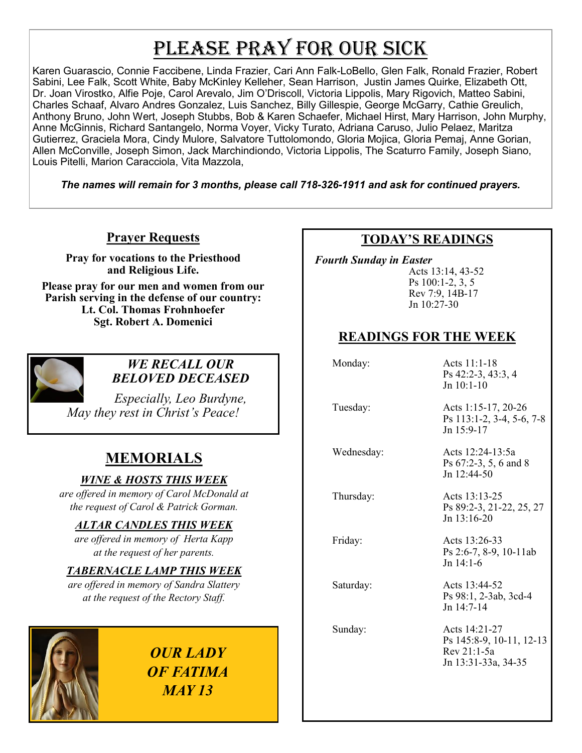# PLEASE PRAY FOR OUR SICK

Karen Guarascio, Connie Faccibene, Linda Frazier, Cari Ann Falk-LoBello, Glen Falk, Ronald Frazier, Robert Sabini, Lee Falk, Scott White, Baby McKinley Kelleher, Sean Harrison, Justin James Quirke, Elizabeth Ott, Dr. Joan Virostko, Alfie Poje, Carol Arevalo, Jim O'Driscoll, Victoria Lippolis, Mary Rigovich, Matteo Sabini, Charles Schaaf, Alvaro Andres Gonzalez, Luis Sanchez, Billy Gillespie, George McGarry, Cathie Greulich, Anthony Bruno, John Wert, Joseph Stubbs, Bob & Karen Schaefer, Michael Hirst, Mary Harrison, John Murphy, Anne McGinnis, Richard Santangelo, Norma Voyer, Vicky Turato, Adriana Caruso, Julio Pelaez, Maritza Gutierrez, Graciela Mora, Cindy Mulore, Salvatore Tuttolomondo, Gloria Mojica, Gloria Pemaj, Anne Gorian, Allen McConville, Joseph Simon, Jack Marchindiondo, Victoria Lippolis, The Scaturro Family, Joseph Siano, Louis Pitelli, Marion Caracciola, Vita Mazzola,

*The names will remain for 3 months, please call 718-326-1911 and ask for continued prayers.*

#### **Prayer Requests**

**Pray for vocations to the Priesthood and Religious Life.** 

**Please pray for our men and women from our Parish serving in the defense of our country: Lt. Col. Thomas Frohnhoefer Sgt. Robert A. Domenici** 



#### *WE RECALL OUR BELOVED DECEASED*

*Especially, Leo Burdyne, May they rest in Christ's Peace!*

## **MEMORIALS**

#### *WINE & HOSTS THIS WEEK*

*are offered in memory of Carol McDonald at the request of Carol & Patrick Gorman.*

#### *ALTAR CANDLES THIS WEEK*

*are offered in memory of Herta Kapp at the request of her parents.* 

#### *TABERNACLE LAMP THIS WEEK*

*are offered in memory of Sandra Slattery at the request of the Rectory Staff.*



*OUR LADY OF FATIMA MAY 13*

#### **TODAY'S READINGS**

 *Fourth Sunday in Easter*

Acts 13:14, 43-52 Ps 100:1-2, 3, 5 Rev 7:9, 14B-17 Jn 10:27-30

### **READINGS FOR THE WEEK**

Monday: Acts 11:1-18 Ps 42:2-3, 43:3, 4 Jn 10:1-10

 Tuesday: Acts 1:15-17, 20-26 Ps 113:1-2, 3-4, 5-6, 7-8 Jn 15:9-17

 Wednesday: Acts 12:24-13:5a Ps 67:2-3, 5, 6 and 8 Jn 12:44-50

 Thursday: Acts 13:13-25 Ps 89:2-3, 21-22, 25, 27 Jn 13:16-20

Ps 2:6-7, 8-9, 10-11ab

Jn 14:1-6

Friday: Acts 13:26-33

Saturday: Acts 13:44-52 Ps 98:1, 2-3ab, 3cd-4 Jn 14:7-14

 Sunday: Acts 14:21-27 Ps 145:8-9, 10-11, 12-13 Rev 21:1-5a Jn 13:31-33a, 34-35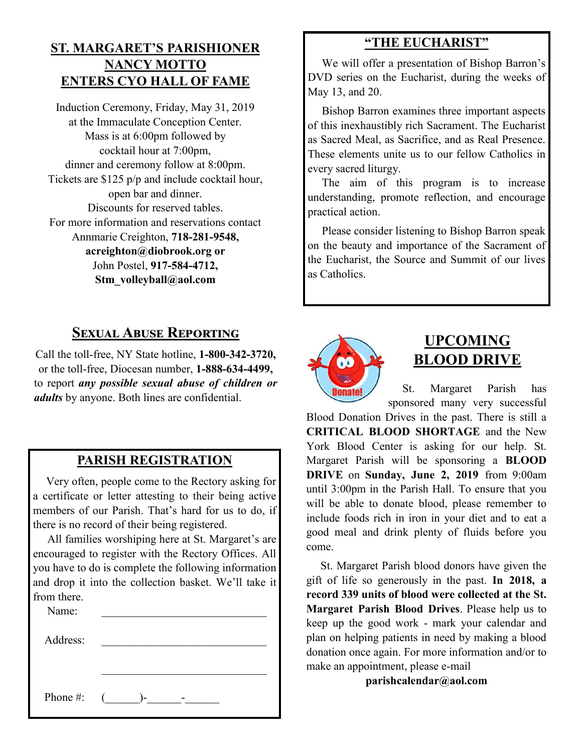#### **ST. MARGARET'S PARISHIONER NANCY MOTTO ENTERS CYO HALL OF FAME**

Induction Ceremony, Friday, May 31, 2019 at the Immaculate Conception Center. Mass is at 6:00pm followed by cocktail hour at 7:00pm, dinner and ceremony follow at 8:00pm. Tickets are \$125 p/p and include cocktail hour, open bar and dinner. Discounts for reserved tables. For more information and reservations contact Annmarie Creighton, **718-281-9548, acreighton@diobrook.org or** John Postel, **917-584-4712, Stm\_volleyball@aol.com**

## **Sexual Abuse Reporting**

Call the toll-free, NY State hotline, **1-800-342-3720,** or the toll-free, Diocesan number, **1-888-634-4499,** to report *any possible sexual abuse of children or adults* by anyone. Both lines are confidential.

#### **PARISH REGISTRATION**

 Very often, people come to the Rectory asking for a certificate or letter attesting to their being active members of our Parish. That's hard for us to do, if there is no record of their being registered.

 All families worshiping here at St. Margaret's are encouraged to register with the Rectory Offices. All you have to do is complete the following information and drop it into the collection basket. We'll take it from there.

| Name:    |                  |
|----------|------------------|
| Address: |                  |
|          |                  |
|          |                  |
| Phone #: | $\sqrt{2}$<br>۱– |

#### **"THE EUCHARIST"**

 We will offer a presentation of Bishop Barron's DVD series on the Eucharist, during the weeks of May 13, and 20.

 Bishop Barron examines three important aspects of this inexhaustibly rich Sacrament. The Eucharist as Sacred Meal, as Sacrifice, and as Real Presence. These elements unite us to our fellow Catholics in every sacred liturgy.

 The aim of this program is to increase understanding, promote reflection, and encourage practical action.

 Please consider listening to Bishop Barron speak on the beauty and importance of the Sacrament of the Eucharist, the Source and Summit of our lives as Catholics.



## **UPCOMING BLOOD DRIVE**

 St. Margaret Parish has sponsored many very successful

Blood Donation Drives in the past. There is still a **CRITICAL BLOOD SHORTAGE** and the New York Blood Center is asking for our help. St. Margaret Parish will be sponsoring a **BLOOD DRIVE** on **Sunday, June 2, 2019** from 9:00am until 3:00pm in the Parish Hall. To ensure that you will be able to donate blood, please remember to include foods rich in iron in your diet and to eat a good meal and drink plenty of fluids before you come.

 St. Margaret Parish blood donors have given the gift of life so generously in the past. **In 2018, a record 339 units of blood were collected at the St. Margaret Parish Blood Drives**. Please help us to keep up the good work - mark your calendar and plan on helping patients in need by making a blood donation once again. For more information and/or to make an appointment, please e-mail

**parishcalendar@aol.com**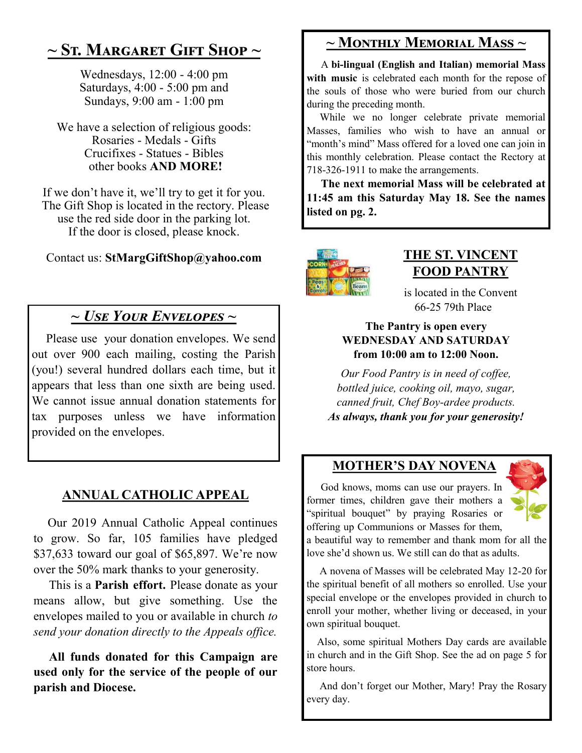## **~ St. Margaret Gift Shop ~**

Wednesdays, 12:00 - 4:00 pm Saturdays, 4:00 - 5:00 pm and Sundays, 9:00 am - 1:00 pm

We have a selection of religious goods: Rosaries - Medals - Gifts Crucifixes - Statues - Bibles other books **AND MORE!**

If we don't have it, we'll try to get it for you. The Gift Shop is located in the rectory. Please use the red side door in the parking lot. If the door is closed, please knock.

Contact us: **StMargGiftShop@yahoo.com**

## *~ Use Your Envelopes ~*

Please use your donation envelopes. We send out over 900 each mailing, costing the Parish (you!) several hundred dollars each time, but it appears that less than one sixth are being used. We cannot issue annual donation statements for tax purposes unless we have information provided on the envelopes.

### **ANNUAL CATHOLIC APPEAL**

 Our 2019 Annual Catholic Appeal continues to grow. So far, 105 families have pledged \$37,633 toward our goal of \$65,897. We're now over the 50% mark thanks to your generosity.

 This is a **Parish effort.** Please donate as your means allow, but give something. Use the envelopes mailed to you or available in church *to send your donation directly to the Appeals office.*

 **All funds donated for this Campaign are used only for the service of the people of our parish and Diocese.** 

## **~ Monthly Memorial Mass ~**

 A **bi-lingual (English and Italian) memorial Mass**  with music is celebrated each month for the repose of the souls of those who were buried from our church during the preceding month.

 While we no longer celebrate private memorial Masses, families who wish to have an annual or "month's mind" Mass offered for a loved one can join in this monthly celebration. Please contact the Rectory at 718-326-1911 to make the arrangements.

 **The next memorial Mass will be celebrated at 11:45 am this Saturday May 18. See the names listed on pg. 2.** 



## **THE ST. VINCENT FOOD PANTRY**

is located in the Convent 66-25 79th Place

#### **The Pantry is open every WEDNESDAY AND SATURDAY from 10:00 am to 12:00 Noon.**

*Our Food Pantry is in need of coffee, bottled juice, cooking oil, mayo, sugar, canned fruit, Chef Boy-ardee products. As always, thank you for your generosity!*

### **MOTHER'S DAY NOVENA**

 God knows, moms can use our prayers. In former times, children gave their mothers a "spiritual bouquet" by praying Rosaries or offering up Communions or Masses for them,



a beautiful way to remember and thank mom for all the love she'd shown us. We still can do that as adults.

 A novena of Masses will be celebrated May 12-20 for the spiritual benefit of all mothers so enrolled. Use your special envelope or the envelopes provided in church to enroll your mother, whether living or deceased, in your own spiritual bouquet.

 Also, some spiritual Mothers Day cards are available in church and in the Gift Shop. See the ad on page 5 for store hours.

 And don't forget our Mother, Mary! Pray the Rosary every day.